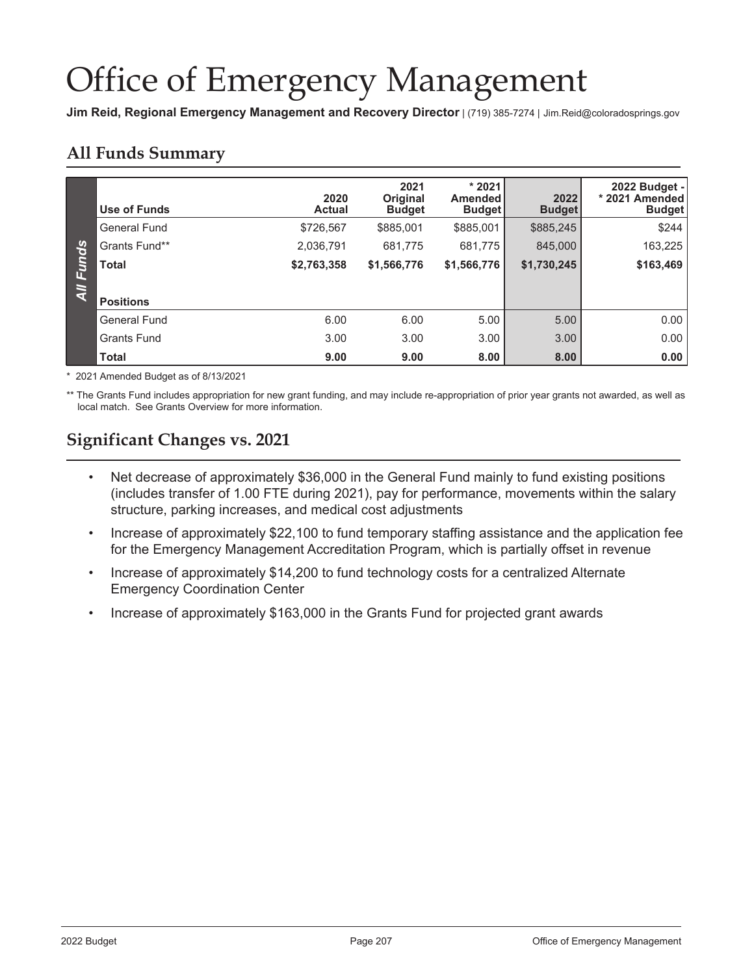# **Office of Emergency Management**

Jim Reid, Regional Emergency Management and Recovery Director | (719) 385-7274 | Jim.Reid@coloradosprings.gov

# **All Funds Summary**

|                | Use of Funds        | 2020<br><b>Actual</b> | 2021<br>Original<br><b>Budget</b> | $*2021$<br><b>Amended</b><br><b>Budget</b> | 2022<br><b>Budget</b> | 2022 Budget -<br>* 2021 Amended<br><b>Budget</b> |
|----------------|---------------------|-----------------------|-----------------------------------|--------------------------------------------|-----------------------|--------------------------------------------------|
|                | <b>General Fund</b> | \$726,567             | \$885,001                         | \$885,001                                  | \$885,245             | \$244                                            |
|                | Grants Fund**       | 2,036,791             | 681,775                           | 681,775                                    | 845,000               | 163,225                                          |
| Funds          | <b>Total</b>        | \$2,763,358           | \$1,566,776                       | \$1,566,776                                | \$1,730,245           | \$163,469                                        |
| $\overline{4}$ |                     |                       |                                   |                                            |                       |                                                  |
|                | <b>Positions</b>    |                       |                                   |                                            |                       |                                                  |
|                | General Fund        | 6.00                  | 6.00                              | 5.00                                       | 5.00                  | 0.00                                             |
|                | <b>Grants Fund</b>  | 3.00                  | 3.00                              | 3.00                                       | 3.00                  | 0.00                                             |
|                | <b>Total</b>        | 9.00                  | 9.00                              | 8.00                                       | 8.00                  | 0.00                                             |

\* 2021 Amended Budget as of 8/13/2021

\*\* The Grants Fund includes appropriation for new grant funding, and may include re-appropriation of prior year grants not awarded, as well as local match. See Grants Overview for more information.

# **Significant Changes vs. 2021**

- Net decrease of approximately \$36,000 in the General Fund mainly to fund existing positions (includes transfer of 1.00 FTE during 2021), pay for performance, movements within the salary structure, parking increases, and medical cost adjustments
- Increase of approximately \$22,100 to fund temporary staffing assistance and the application fee for the Emergency Management Accreditation Program, which is partially offset in revenue
- Increase of approximately \$14,200 to fund technology costs for a centralized Alternate  $\bullet$ **Emergency Coordination Center**
- Increase of approximately \$163,000 in the Grants Fund for projected grant awards  $\bullet$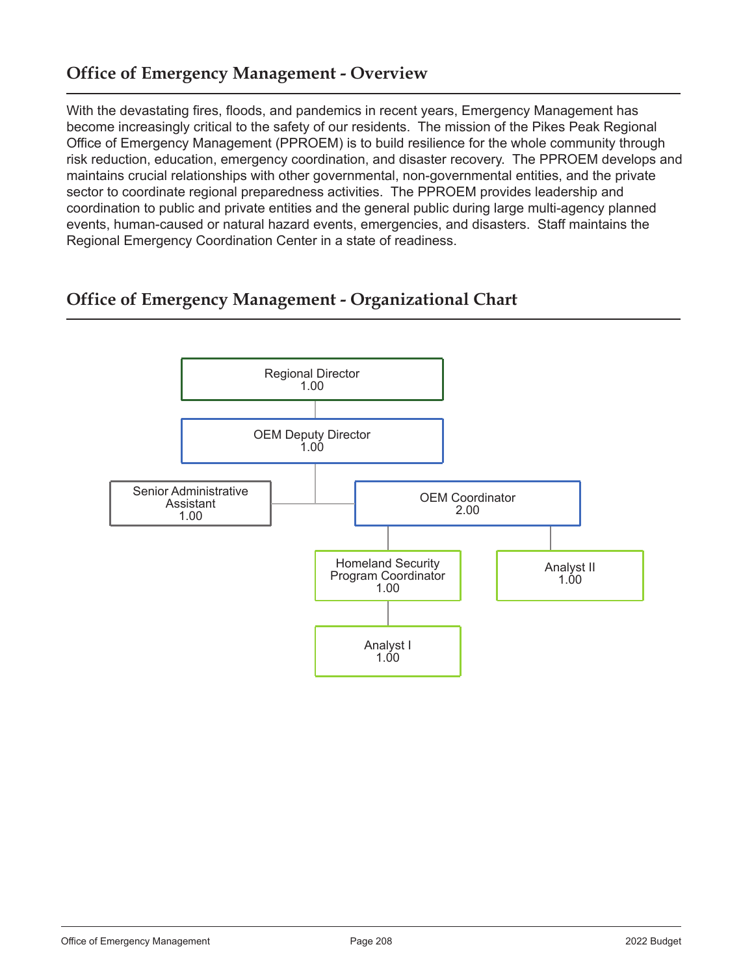# **Office of Emergency Management - Overview**

With the devastating fires, floods, and pandemics in recent years, Emergency Management has become increasingly critical to the safety of our residents. The mission of the Pikes Peak Regional Office of Emergency Management (PPROEM) is to build resilience for the whole community through risk reduction, education, emergency coordination, and disaster recovery. The PPROEM develops and maintains crucial relationships with other governmental, non-governmental entities, and the private sector to coordinate regional preparedness activities. The PPROEM provides leadership and coordination to public and private entities and the general public during large multi-agency planned events, human-caused or natural hazard events, emergencies, and disasters. Staff maintains the Regional Emergency Coordination Center in a state of readiness.

# **Office of Emergency Management - Organizational Chart**

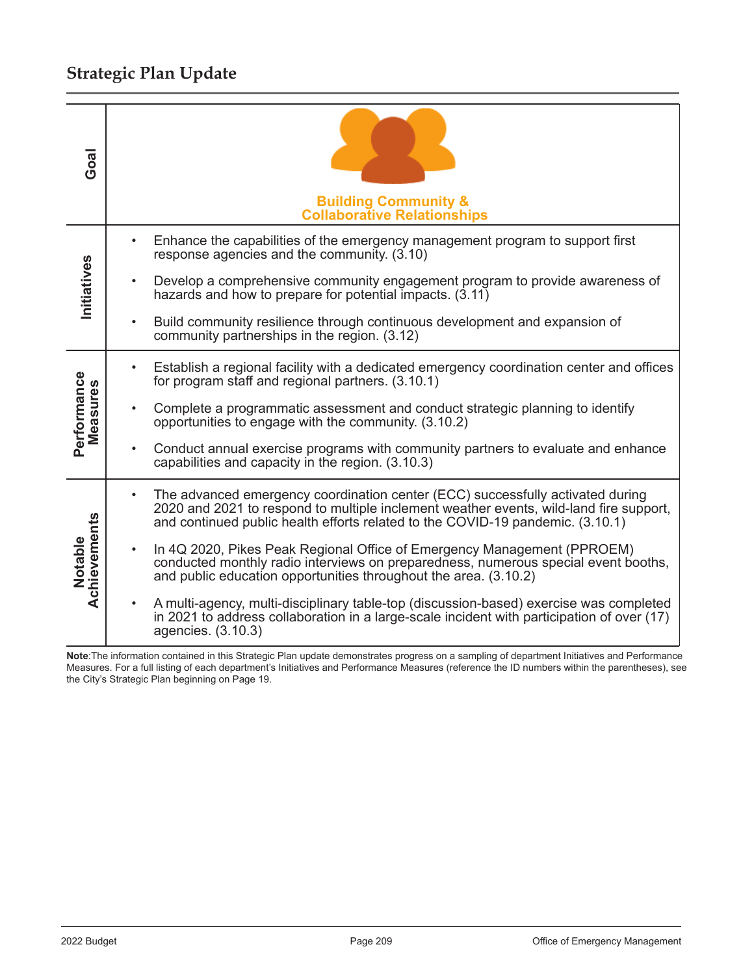# Strategic Plan Update

| Goal                    | <b>Building Community &amp;</b><br><b>Collaborative Relationships</b>                                                                                                                                                                                                   |
|-------------------------|-------------------------------------------------------------------------------------------------------------------------------------------------------------------------------------------------------------------------------------------------------------------------|
|                         | Enhance the capabilities of the emergency management program to support first<br>response agencies and the community. (3.10)                                                                                                                                            |
| Initiatives             | Develop a comprehensive community engagement program to provide awareness of<br>$\bullet$<br>hazards and how to prepare for potential impacts. (3.11)                                                                                                                   |
|                         | Build community resilience through continuous development and expansion of<br>$\bullet$<br>community partnerships in the region. (3.12)                                                                                                                                 |
|                         | Establish a regional facility with a dedicated emergency coordination center and offices<br>for program staff and regional partners. (3.10.1)                                                                                                                           |
| Performance<br>Measures | Complete a programmatic assessment and conduct strategic planning to identify<br>opportunities to engage with the community. (3.10.2)                                                                                                                                   |
|                         | Conduct annual exercise programs with community partners to evaluate and enhance<br>capabilities and capacity in the region. (3.10.3)                                                                                                                                   |
| Achievements<br>Notable | The advanced emergency coordination center (ECC) successfully activated during<br>$\bullet$<br>2020 and 2021 to respond to multiple inclement weather events, wild-land fire support,<br>and continued public health efforts related to the COVID-19 pandemic. (3.10.1) |
|                         | In 4Q 2020, Pikes Peak Regional Office of Emergency Management (PPROEM)<br>$\bullet$<br>conducted monthly radio interviews on preparedness, numerous special event booths,<br>and public education opportunities throughout the area. (3.10.2)                          |
|                         | A multi-agency, multi-disciplinary table-top (discussion-based) exercise was completed<br>in 2021 to address collaboration in a large-scale incident with participation of over (17)<br>agencies. (3.10.3)                                                              |

Note: The information contained in this Strategic Plan update demonstrates progress on a sampling of department Initiatives and Performance Measures. For a full listing of each department's Initiatives and Performance Measures (reference the ID numbers within the parentheses), see the City's Strategic Plan beginning on Page 19.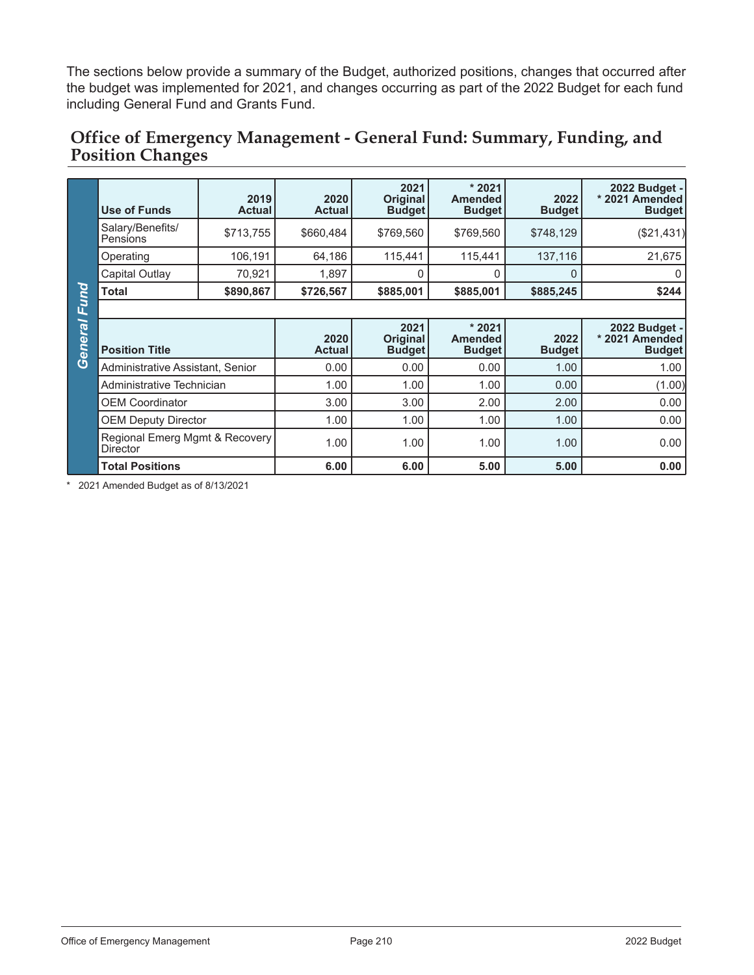The sections below provide a summary of the Budget, authorized positions, changes that occurred after the budget was implemented for 2021, and changes occurring as part of the 2022 Budget for each fund including General Fund and Grants Fund.

### Office of Emergency Management - General Fund: Summary, Funding, and **Position Changes**

|         | <b>Use of Funds</b>                        | 2019<br><b>Actual</b> | 2020<br><b>Actual</b> | 2021<br>Original<br><b>Budget</b>        | $*2021$<br><b>Amended</b><br><b>Budget</b> | 2022<br><b>Budget</b> | 2022 Budget -<br>* 2021 Amended<br><b>Budget</b> |  |  |  |
|---------|--------------------------------------------|-----------------------|-----------------------|------------------------------------------|--------------------------------------------|-----------------------|--------------------------------------------------|--|--|--|
|         | Salary/Benefits/<br>Pensions               | \$713,755             | \$660,484             | \$769,560                                | \$769,560                                  | \$748,129             | (\$21,431)                                       |  |  |  |
|         | Operating                                  | 106,191               | 64,186                | 115,441                                  | 115,441                                    | 137,116               | 21,675                                           |  |  |  |
|         | Capital Outlay                             | 70,921                | 1,897                 | 0                                        | O                                          | 0                     | 0                                                |  |  |  |
| Fund    | <b>Total</b>                               | \$890,867             | \$726,567             | \$885,001                                | \$885,001                                  | \$885,245             | \$244                                            |  |  |  |
|         |                                            |                       |                       |                                          |                                            |                       |                                                  |  |  |  |
| General | <b>Position Title</b>                      |                       | 2020<br><b>Actual</b> | 2021<br><b>Original</b><br><b>Budget</b> | $*2021$<br><b>Amended</b><br><b>Budget</b> | 2022<br><b>Budget</b> | 2022 Budget -<br>* 2021 Amended<br><b>Budget</b> |  |  |  |
|         | Administrative Assistant, Senior           |                       | 0.00                  | 0.00                                     | 0.00                                       | 1.00                  | 1.00                                             |  |  |  |
|         | Administrative Technician                  |                       | 1.00                  | 1.00                                     | 1.00                                       | 0.00                  | (1.00)                                           |  |  |  |
|         | <b>OEM Coordinator</b>                     |                       | 3.00                  | 3.00                                     | 2.00                                       | 2.00                  | 0.00                                             |  |  |  |
|         | <b>OEM Deputy Director</b>                 |                       | 1.00                  | 1.00                                     | 1.00                                       | 1.00                  | 0.00                                             |  |  |  |
|         | Regional Emerg Mgmt & Recovery<br>Director |                       | 1.00                  | 1.00                                     | 1.00                                       | 1.00                  | 0.00                                             |  |  |  |
|         | <b>Total Positions</b>                     |                       | 6.00                  | 6.00                                     | 5.00                                       | 5.00                  | 0.00                                             |  |  |  |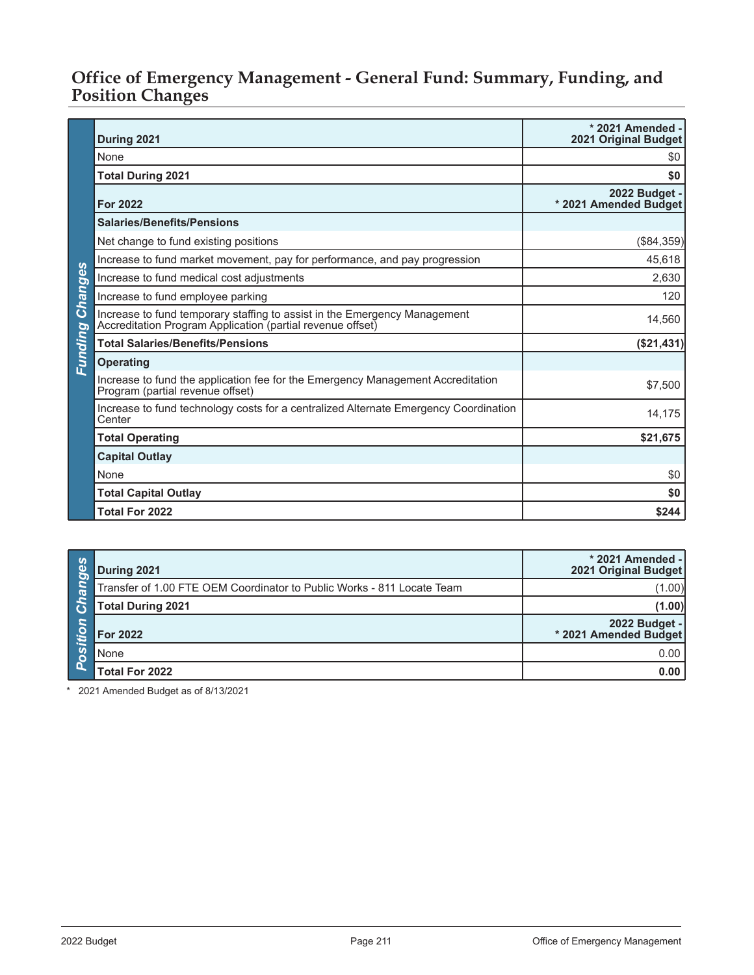#### Office of Emergency Management - General Fund: Summary, Funding, and **Position Changes**

|                | During 2021                                                                                                                             | * 2021 Amended -<br><b>2021 Original Budget</b> |
|----------------|-----------------------------------------------------------------------------------------------------------------------------------------|-------------------------------------------------|
|                | None                                                                                                                                    | \$0                                             |
|                | <b>Total During 2021</b>                                                                                                                | \$0                                             |
|                | <b>For 2022</b>                                                                                                                         | 2022 Budget -<br>* 2021 Amended Budget          |
|                | <b>Salaries/Benefits/Pensions</b>                                                                                                       |                                                 |
|                | Net change to fund existing positions                                                                                                   | $(\$84,359)$                                    |
|                | Increase to fund market movement, pay for performance, and pay progression                                                              | 45,618                                          |
| Changes        | Increase to fund medical cost adjustments                                                                                               | 2,630                                           |
|                | Increase to fund employee parking                                                                                                       | 120                                             |
|                | Increase to fund temporary staffing to assist in the Emergency Management<br>Accreditation Program Application (partial revenue offset) | 14,560                                          |
| <b>Eunding</b> | <b>Total Salaries/Benefits/Pensions</b>                                                                                                 | (\$21,431)                                      |
|                | <b>Operating</b>                                                                                                                        |                                                 |
|                | Increase to fund the application fee for the Emergency Management Accreditation<br>Program (partial revenue offset)                     | \$7,500                                         |
|                | Increase to fund technology costs for a centralized Alternate Emergency Coordination<br>Center                                          | 14,175                                          |
|                | <b>Total Operating</b>                                                                                                                  | \$21,675                                        |
|                | <b>Capital Outlay</b>                                                                                                                   |                                                 |
|                | None                                                                                                                                    | \$0                                             |
|                | <b>Total Capital Outlay</b>                                                                                                             | \$0                                             |
|                | <b>Total For 2022</b>                                                                                                                   | \$244                                           |

| ္က ကို<br>ு | During 2021                                                            | * 2021 Amended -<br>2021 Original Budget |
|-------------|------------------------------------------------------------------------|------------------------------------------|
| ್           | Transfer of 1.00 FTE OEM Coordinator to Public Works - 811 Locate Team | (1.00)                                   |
| E           | <b>Total During 2021</b>                                               | (1.00)                                   |
|             | <b>For 2022</b>                                                        | 2022 Budget -<br>* 2021 Amended Budget   |
| ∣ o         | None                                                                   | 0.00                                     |
|             | <b>Total For 2022</b>                                                  | 0.00                                     |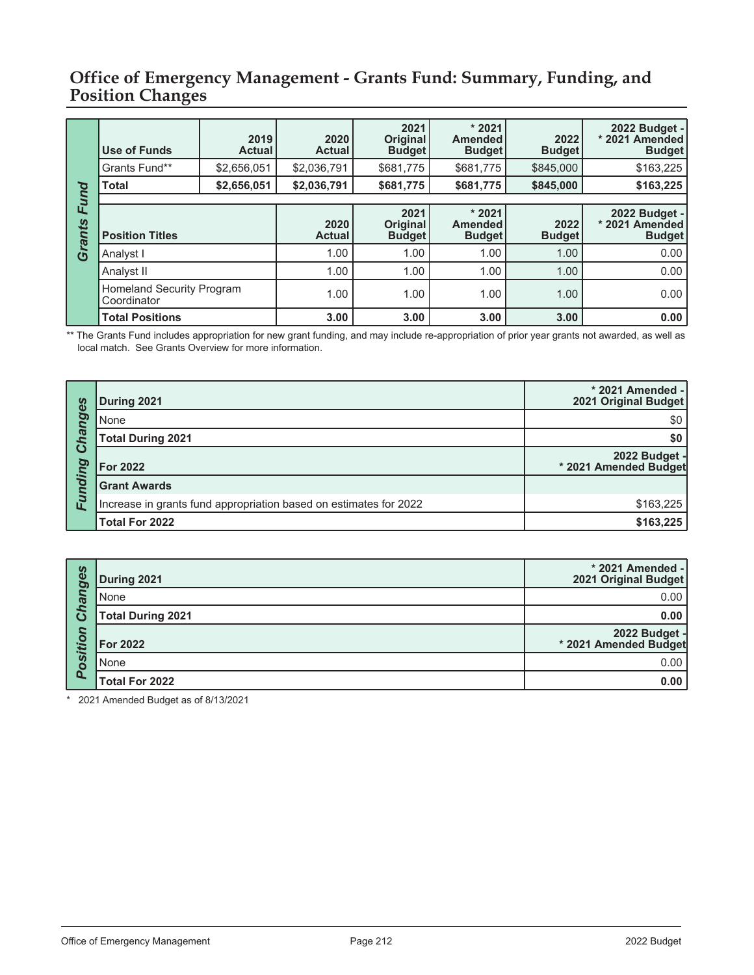#### Office of Emergency Management - Grants Fund: Summary, Funding, and **Position Changes**

|        | Use of Funds                                    | 2019<br><b>Actual</b> | 2020<br><b>Actual</b> | 2021<br><b>Original</b><br><b>Budget</b> | $*2021$<br><b>Amended</b><br><b>Budget</b> | 2022<br><b>Budget</b> | 2022 Budget -<br>* 2021 Amended<br><b>Budget</b> |
|--------|-------------------------------------------------|-----------------------|-----------------------|------------------------------------------|--------------------------------------------|-----------------------|--------------------------------------------------|
|        | Grants Fund**                                   | \$2,656,051           | \$2,036,791           | \$681,775                                | \$681,775                                  | \$845,000             | \$163,225                                        |
| Fund   | Total                                           | \$2,656,051           | \$2,036,791           | \$681,775                                | \$681,775                                  | \$845,000             | \$163,225                                        |
|        |                                                 |                       |                       |                                          |                                            |                       |                                                  |
| Grants | <b>Position Titles</b>                          |                       | 2020<br><b>Actual</b> | 2021<br><b>Original</b><br><b>Budget</b> | $*2021$<br><b>Amended</b><br><b>Budget</b> | 2022<br><b>Budget</b> | 2022 Budget -<br>* 2021 Amended<br><b>Budget</b> |
|        | Analyst I                                       |                       | 1.00                  | 1.00                                     | 1.00                                       | 1.00                  | 0.00                                             |
|        | Analyst II                                      |                       | 1.00                  | 1.00                                     | 1.00                                       | 1.00                  | 0.00                                             |
|        | <b>Homeland Security Program</b><br>Coordinator |                       | 1.00                  | 1.00                                     | 1.00                                       | 1.00                  | 0.00                                             |
|        | <b>Total Positions</b>                          |                       | 3.00                  | 3.00                                     | 3.00                                       | 3.00                  | 0.00                                             |

\*\* The Grants Fund includes appropriation for new grant funding, and may include re-appropriation of prior year grants not awarded, as well as local match. See Grants Overview for more information.

| n       | During 2021                                                       | * 2021 Amended -<br>2021 Original Budget |
|---------|-------------------------------------------------------------------|------------------------------------------|
| hange:  | None                                                              | \$0                                      |
|         | <b>Total During 2021</b>                                          | \$0                                      |
| ت       | <b>For 2022</b>                                                   | 2022 Budget -<br>* 2021 Amended Budget   |
| Funding | <b>Grant Awards</b>                                               |                                          |
|         | Increase in grants fund appropriation based on estimates for 2022 | \$163,225                                |
|         | <b>Total For 2022</b>                                             | \$163,225                                |

| cebueu  | During 2021              | * 2021 Amended -<br>2021 Original Budget |
|---------|--------------------------|------------------------------------------|
|         | None                     | 0.00                                     |
|         | <b>Total During 2021</b> | 0.00                                     |
| osition | <b>For 2022</b>          | 2022 Budget -<br>* 2021 Amended Budget   |
|         | None                     | 0.00                                     |
| ח       | <b>Total For 2022</b>    | 0.00                                     |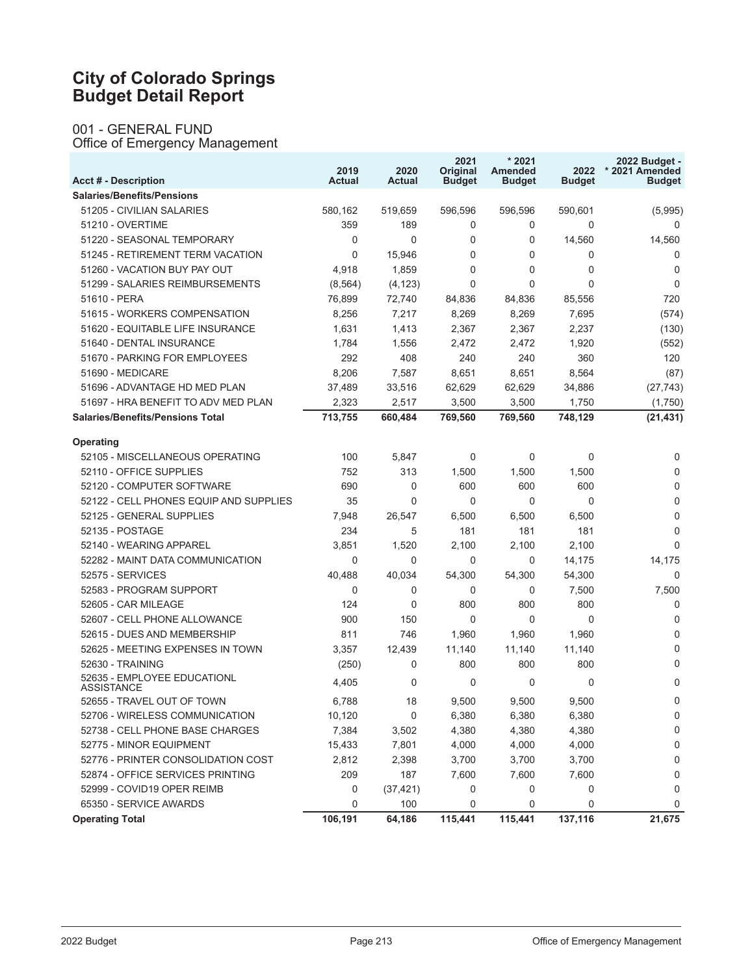# **City of Colorado Springs<br>Budget Detail Report**

001 - GENERAL FUND<br>Office of Emergency Management

| <b>Acct # - Description</b>               | 2019<br><b>Actual</b> | 2020<br><b>Actual</b> | 2021<br>Original<br><b>Budget</b> | $*2021$<br>Amended<br><b>Budget</b> | 2022<br><b>Budget</b> | 2022 Budget -<br>* 2021 Amended<br><b>Budget</b> |
|-------------------------------------------|-----------------------|-----------------------|-----------------------------------|-------------------------------------|-----------------------|--------------------------------------------------|
| <b>Salaries/Benefits/Pensions</b>         |                       |                       |                                   |                                     |                       |                                                  |
| 51205 - CIVILIAN SALARIES                 | 580,162               | 519,659               | 596,596                           | 596,596                             | 590,601               | (5,995)                                          |
| 51210 - OVERTIME                          | 359                   | 189                   | 0                                 | 0                                   | 0                     | 0                                                |
| 51220 - SEASONAL TEMPORARY                | 0                     | $\Omega$              | 0                                 | 0                                   | 14,560                | 14,560                                           |
| 51245 - RETIREMENT TERM VACATION          | 0                     | 15,946                | 0                                 | 0                                   | 0                     | 0                                                |
| 51260 - VACATION BUY PAY OUT              | 4,918                 | 1,859                 | $\mathbf{0}$                      | 0                                   | 0                     | $\mathbf 0$                                      |
| 51299 - SALARIES REIMBURSEMENTS           | (8, 564)              | (4, 123)              | $\mathbf{0}$                      | 0                                   | $\Omega$              | $\mathbf 0$                                      |
| 51610 - PERA                              | 76,899                | 72.740                | 84,836                            | 84,836                              | 85,556                | 720                                              |
| 51615 - WORKERS COMPENSATION              | 8,256                 | 7,217                 | 8,269                             | 8,269                               | 7,695                 | (574)                                            |
| 51620 - EQUITABLE LIFE INSURANCE          | 1,631                 | 1,413                 | 2,367                             | 2,367                               | 2,237                 | (130)                                            |
| 51640 - DENTAL INSURANCE                  | 1,784                 | 1,556                 | 2,472                             | 2,472                               | 1,920                 | (552)                                            |
| 51670 - PARKING FOR EMPLOYEES             | 292                   | 408                   | 240                               | 240                                 | 360                   | 120                                              |
| 51690 - MEDICARE                          | 8,206                 | 7,587                 | 8,651                             | 8,651                               | 8,564                 | (87)                                             |
| 51696 - ADVANTAGE HD MED PLAN             | 37,489                | 33,516                | 62,629                            | 62,629                              | 34,886                | (27, 743)                                        |
| 51697 - HRA BENEFIT TO ADV MED PLAN       | 2,323                 | 2,517                 | 3,500                             | 3,500                               | 1,750                 | (1,750)                                          |
| <b>Salaries/Benefits/Pensions Total</b>   | 713,755               | 660,484               | 769,560                           | 769,560                             | 748,129               | (21, 431)                                        |
| <b>Operating</b>                          |                       |                       |                                   |                                     |                       |                                                  |
| 52105 - MISCELLANEOUS OPERATING           | 100                   | 5,847                 | $\mathbf 0$                       | 0                                   | 0                     | 0                                                |
| 52110 - OFFICE SUPPLIES                   | 752                   | 313                   | 1,500                             | 1,500                               | 1,500                 | $\mathbf 0$                                      |
| 52120 - COMPUTER SOFTWARE                 | 690                   | $\mathbf 0$           | 600                               | 600                                 | 600                   | 0                                                |
| 52122 - CELL PHONES EQUIP AND SUPPLIES    | 35                    | $\mathbf{0}$          | $\mathbf 0$                       | 0                                   | $\Omega$              | 0                                                |
| 52125 - GENERAL SUPPLIES                  | 7,948                 | 26,547                | 6,500                             | 6,500                               | 6,500                 | $\mathbf 0$                                      |
| 52135 - POSTAGE                           | 234                   | 5                     | 181                               | 181                                 | 181                   | $\mathbf 0$                                      |
| 52140 - WEARING APPAREL                   | 3,851                 | 1,520                 | 2,100                             | 2,100                               | 2,100                 | $\Omega$                                         |
| 52282 - MAINT DATA COMMUNICATION          | 0                     | $\Omega$              | $\mathbf 0$                       | 0                                   | 14,175                | 14,175                                           |
| 52575 - SERVICES                          | 40,488                | 40,034                | 54,300                            | 54,300                              | 54,300                | $\Omega$                                         |
| 52583 - PROGRAM SUPPORT                   | 0                     | 0                     | $\mathbf 0$                       | 0                                   | 7,500                 | 7,500                                            |
| 52605 - CAR MILEAGE                       | 124                   | $\mathbf{0}$          | 800                               | 800                                 | 800                   | $\mathbf 0$                                      |
| 52607 - CELL PHONE ALLOWANCE              | 900                   | 150                   | $\mathbf 0$                       | 0                                   | 0                     | $\mathbf 0$                                      |
| 52615 - DUES AND MEMBERSHIP               | 811                   | 746                   | 1,960                             | 1,960                               | 1,960                 | $\mathbf 0$                                      |
| 52625 - MEETING EXPENSES IN TOWN          | 3,357                 | 12,439                | 11,140                            | 11,140                              | 11,140                | 0                                                |
| 52630 - TRAINING                          | (250)                 | 0                     | 800                               | 800                                 | 800                   | 0                                                |
| 52635 - EMPLOYEE EDUCATIONL<br>ASSISTANCE | 4,405                 | 0                     | $\mathbf{0}$                      | 0                                   | $\Omega$              | 0                                                |
| 52655 - TRAVEL OUT OF TOWN                | 6,788                 | 18                    | 9,500                             | 9,500                               | 9,500                 | $\mathbf{0}$                                     |
| 52706 - WIRELESS COMMUNICATION            | 10,120                | $\pmb{0}$             | 6,380                             | 6,380                               | 6,380                 | 0                                                |
| 52738 - CELL PHONE BASE CHARGES           | 7,384                 | 3,502                 | 4,380                             | 4,380                               | 4,380                 | 0                                                |
| 52775 - MINOR EQUIPMENT                   | 15,433                | 7,801                 | 4,000                             | 4,000                               | 4,000                 | 0                                                |
| 52776 - PRINTER CONSOLIDATION COST        | 2,812                 | 2,398                 | 3,700                             | 3,700                               | 3,700                 | 0                                                |
| 52874 - OFFICE SERVICES PRINTING          | 209                   | 187                   | 7,600                             | 7,600                               | 7,600                 | 0                                                |
| 52999 - COVID19 OPER REIMB                | 0                     | (37, 421)             | 0                                 | 0                                   | 0                     | 0                                                |
| 65350 - SERVICE AWARDS                    | 0                     | 100                   | 0                                 | 0                                   | 0                     | $\Omega$                                         |
| <b>Operating Total</b>                    | 106,191               | 64,186                | 115,441                           | 115,441                             | 137,116               | 21,675                                           |